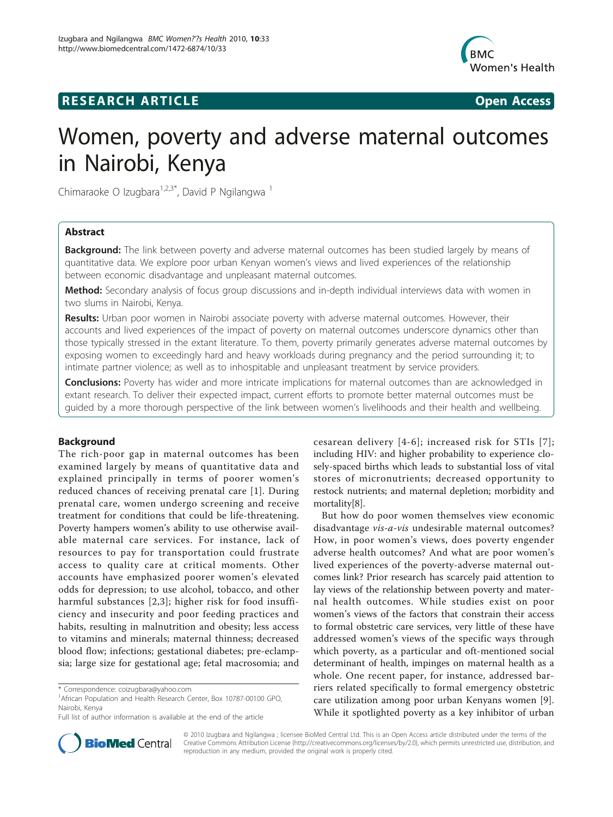

## RESEARCH ARTICLE **External of the Contract Contract Contract Contract Contract Contract Contract Contract Contract Contract Contract Contract Contract Contract Contract Contract Contract Contract Contract Contract Contract**



# Women, poverty and adverse maternal outcomes in Nairobi, Kenya

Chimaraoke O Izugbara<sup>1,2,3\*</sup>, David P Ngilangwa <sup>1</sup>

## Abstract

**Background:** The link between poverty and adverse maternal outcomes has been studied largely by means of quantitative data. We explore poor urban Kenyan women's views and lived experiences of the relationship between economic disadvantage and unpleasant maternal outcomes.

Method: Secondary analysis of focus group discussions and in-depth individual interviews data with women in two slums in Nairobi, Kenya.

Results: Urban poor women in Nairobi associate poverty with adverse maternal outcomes. However, their accounts and lived experiences of the impact of poverty on maternal outcomes underscore dynamics other than those typically stressed in the extant literature. To them, poverty primarily generates adverse maternal outcomes by exposing women to exceedingly hard and heavy workloads during pregnancy and the period surrounding it; to intimate partner violence; as well as to inhospitable and unpleasant treatment by service providers.

**Conclusions:** Poverty has wider and more intricate implications for maternal outcomes than are acknowledged in extant research. To deliver their expected impact, current efforts to promote better maternal outcomes must be guided by a more thorough perspective of the link between women's livelihoods and their health and wellbeing.

## Background

The rich-poor gap in maternal outcomes has been examined largely by means of quantitative data and explained principally in terms of poorer women's reduced chances of receiving prenatal care [[1\]](#page-7-0). During prenatal care, women undergo screening and receive treatment for conditions that could be life-threatening. Poverty hampers women's ability to use otherwise available maternal care services. For instance, lack of resources to pay for transportation could frustrate access to quality care at critical moments. Other accounts have emphasized poorer women's elevated odds for depression; to use alcohol, tobacco, and other harmful substances [[2,3](#page-7-0)]; higher risk for food insufficiency and insecurity and poor feeding practices and habits, resulting in malnutrition and obesity; less access to vitamins and minerals; maternal thinness; decreased blood flow; infections; gestational diabetes; pre-eclampsia; large size for gestational age; fetal macrosomia; and



But how do poor women themselves view economic disadvantage vis-a-vis undesirable maternal outcomes? How, in poor women's views, does poverty engender adverse health outcomes? And what are poor women's lived experiences of the poverty-adverse maternal outcomes link? Prior research has scarcely paid attention to lay views of the relationship between poverty and maternal health outcomes. While studies exist on poor women's views of the factors that constrain their access to formal obstetric care services, very little of these have addressed women's views of the specific ways through which poverty, as a particular and oft-mentioned social determinant of health, impinges on maternal health as a whole. One recent paper, for instance, addressed barriers related specifically to formal emergency obstetric care utilization among poor urban Kenyans women [\[9](#page-7-0)]. While it spotlighted poverty as a key inhibitor of urban



© 2010 Izugbara and Ngilangwa ; licensee BioMed Central Ltd. This is an Open Access article distributed under the terms of the Creative Commons Attribution License (<http://creativecommons.org/licenses/by/2.0>), which permits unrestricted use, distribution, and reproduction in any medium, provided the original work is properly cited.

<sup>\*</sup> Correspondence: [coizugbara@yahoo.com](mailto:coizugbara@yahoo.com)

<sup>&</sup>lt;sup>1</sup> African Population and Health Research Center, Box 10787-00100 GPO, Nairobi, Kenya

Full list of author information is available at the end of the article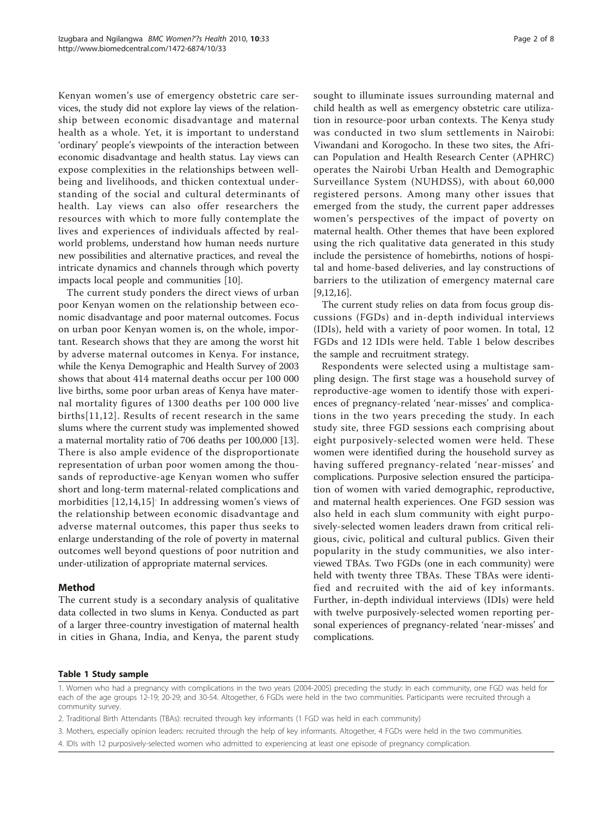<span id="page-1-0"></span>Kenyan women's use of emergency obstetric care services, the study did not explore lay views of the relationship between economic disadvantage and maternal health as a whole. Yet, it is important to understand 'ordinary' people's viewpoints of the interaction between economic disadvantage and health status. Lay views can expose complexities in the relationships between wellbeing and livelihoods, and thicken contextual understanding of the social and cultural determinants of health. Lay views can also offer researchers the resources with which to more fully contemplate the lives and experiences of individuals affected by realworld problems, understand how human needs nurture new possibilities and alternative practices, and reveal the intricate dynamics and channels through which poverty impacts local people and communities [[10\]](#page-7-0).

The current study ponders the direct views of urban poor Kenyan women on the relationship between economic disadvantage and poor maternal outcomes. Focus on urban poor Kenyan women is, on the whole, important. Research shows that they are among the worst hit by adverse maternal outcomes in Kenya. For instance, while the Kenya Demographic and Health Survey of 2003 shows that about 414 maternal deaths occur per 100 000 live births, some poor urban areas of Kenya have maternal mortality figures of 1300 deaths per 100 000 live births[[11](#page-7-0),[12](#page-7-0)]. Results of recent research in the same slums where the current study was implemented showed a maternal mortality ratio of 706 deaths per 100,000 [\[13](#page-7-0)]. There is also ample evidence of the disproportionate representation of urban poor women among the thousands of reproductive-age Kenyan women who suffer short and long-term maternal-related complications and morbidities [[12,14,15](#page-7-0)] In addressing women's views of the relationship between economic disadvantage and adverse maternal outcomes, this paper thus seeks to enlarge understanding of the role of poverty in maternal outcomes well beyond questions of poor nutrition and under-utilization of appropriate maternal services.

## Method

The current study is a secondary analysis of qualitative data collected in two slums in Kenya. Conducted as part of a larger three-country investigation of maternal health in cities in Ghana, India, and Kenya, the parent study sought to illuminate issues surrounding maternal and child health as well as emergency obstetric care utilization in resource-poor urban contexts. The Kenya study was conducted in two slum settlements in Nairobi: Viwandani and Korogocho. In these two sites, the African Population and Health Research Center (APHRC) operates the Nairobi Urban Health and Demographic Surveillance System (NUHDSS), with about 60,000 registered persons. Among many other issues that emerged from the study, the current paper addresses women's perspectives of the impact of poverty on maternal health. Other themes that have been explored using the rich qualitative data generated in this study include the persistence of homebirths, notions of hospital and home-based deliveries, and lay constructions of barriers to the utilization of emergency maternal care [[9,12,16\]](#page-7-0).

The current study relies on data from focus group discussions (FGDs) and in-depth individual interviews (IDIs), held with a variety of poor women. In total, 12 FGDs and 12 IDIs were held. Table 1 below describes the sample and recruitment strategy.

Respondents were selected using a multistage sampling design. The first stage was a household survey of reproductive-age women to identify those with experiences of pregnancy-related 'near-misses' and complications in the two years preceding the study. In each study site, three FGD sessions each comprising about eight purposively-selected women were held. These women were identified during the household survey as having suffered pregnancy-related 'near-misses' and complications. Purposive selection ensured the participation of women with varied demographic, reproductive, and maternal health experiences. One FGD session was also held in each slum community with eight purposively-selected women leaders drawn from critical religious, civic, political and cultural publics. Given their popularity in the study communities, we also interviewed TBAs. Two FGDs (one in each community) were held with twenty three TBAs. These TBAs were identified and recruited with the aid of key informants. Further, in-depth individual interviews (IDIs) were held with twelve purposively-selected women reporting personal experiences of pregnancy-related 'near-misses' and complications.

## Table 1 Study sample

1. Women who had a pregnancy with complications in the two years (2004-2005) preceding the study: In each community, one FGD was held for each of the age groups 12-19; 20-29; and 30-54. Altogether, 6 FGDs were held in the two communities. Participants were recruited through a community survey.

<sup>2.</sup> Traditional Birth Attendants (TBAs): recruited through key informants (1 FGD was held in each community)

<sup>3.</sup> Mothers, especially opinion leaders: recruited through the help of key informants. Altogether, 4 FGDs were held in the two communities.

<sup>4.</sup> IDIs with 12 purposively-selected women who admitted to experiencing at least one episode of pregnancy complication.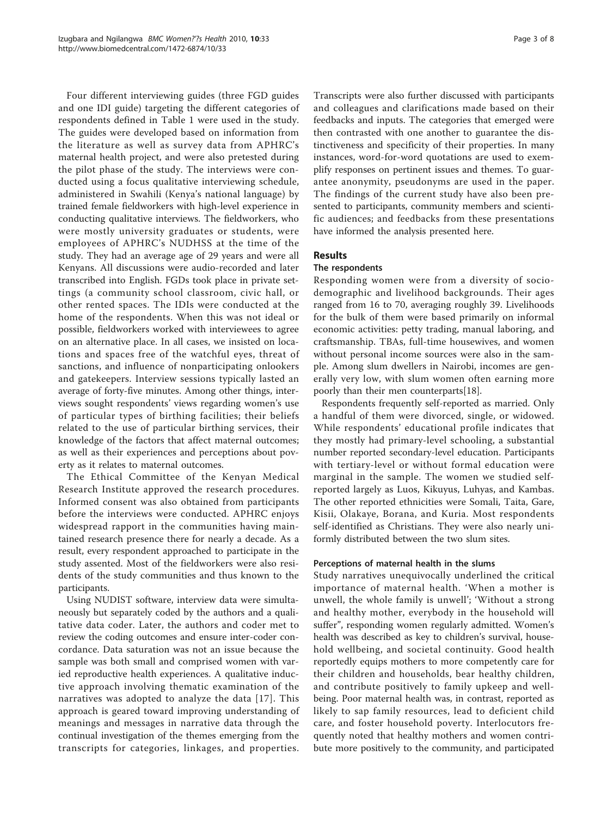Four different interviewing guides (three FGD guides and one IDI guide) targeting the different categories of respondents defined in Table [1](#page-1-0) were used in the study. The guides were developed based on information from the literature as well as survey data from APHRC's maternal health project, and were also pretested during the pilot phase of the study. The interviews were conducted using a focus qualitative interviewing schedule, administered in Swahili (Kenya's national language) by trained female fieldworkers with high-level experience in conducting qualitative interviews. The fieldworkers, who were mostly university graduates or students, were employees of APHRC's NUDHSS at the time of the study. They had an average age of 29 years and were all Kenyans. All discussions were audio-recorded and later transcribed into English. FGDs took place in private settings (a community school classroom, civic hall, or other rented spaces. The IDIs were conducted at the home of the respondents. When this was not ideal or possible, fieldworkers worked with interviewees to agree on an alternative place. In all cases, we insisted on locations and spaces free of the watchful eyes, threat of sanctions, and influence of nonparticipating onlookers and gatekeepers. Interview sessions typically lasted an average of forty-five minutes. Among other things, interviews sought respondents' views regarding women's use of particular types of birthing facilities; their beliefs related to the use of particular birthing services, their knowledge of the factors that affect maternal outcomes; as well as their experiences and perceptions about poverty as it relates to maternal outcomes.

The Ethical Committee of the Kenyan Medical Research Institute approved the research procedures. Informed consent was also obtained from participants before the interviews were conducted. APHRC enjoys widespread rapport in the communities having maintained research presence there for nearly a decade. As a result, every respondent approached to participate in the study assented. Most of the fieldworkers were also residents of the study communities and thus known to the participants.

Using NUDIST software, interview data were simultaneously but separately coded by the authors and a qualitative data coder. Later, the authors and coder met to review the coding outcomes and ensure inter-coder concordance. Data saturation was not an issue because the sample was both small and comprised women with varied reproductive health experiences. A qualitative inductive approach involving thematic examination of the narratives was adopted to analyze the data [[17](#page-7-0)]. This approach is geared toward improving understanding of meanings and messages in narrative data through the continual investigation of the themes emerging from the transcripts for categories, linkages, and properties.

Transcripts were also further discussed with participants and colleagues and clarifications made based on their feedbacks and inputs. The categories that emerged were then contrasted with one another to guarantee the distinctiveness and specificity of their properties. In many instances, word-for-word quotations are used to exemplify responses on pertinent issues and themes. To guarantee anonymity, pseudonyms are used in the paper. The findings of the current study have also been presented to participants, community members and scientific audiences; and feedbacks from these presentations have informed the analysis presented here.

## Results

## The respondents

Responding women were from a diversity of sociodemographic and livelihood backgrounds. Their ages ranged from 16 to 70, averaging roughly 39. Livelihoods for the bulk of them were based primarily on informal economic activities: petty trading, manual laboring, and craftsmanship. TBAs, full-time housewives, and women without personal income sources were also in the sample. Among slum dwellers in Nairobi, incomes are generally very low, with slum women often earning more poorly than their men counterparts[\[18](#page-7-0)].

Respondents frequently self-reported as married. Only a handful of them were divorced, single, or widowed. While respondents' educational profile indicates that they mostly had primary-level schooling, a substantial number reported secondary-level education. Participants with tertiary-level or without formal education were marginal in the sample. The women we studied selfreported largely as Luos, Kikuyus, Luhyas, and Kambas. The other reported ethnicities were Somali, Taita, Gare, Kisii, Olakaye, Borana, and Kuria. Most respondents self-identified as Christians. They were also nearly uniformly distributed between the two slum sites.

## Perceptions of maternal health in the slums

Study narratives unequivocally underlined the critical importance of maternal health. 'When a mother is unwell, the whole family is unwell'; 'Without a strong and healthy mother, everybody in the household will suffer", responding women regularly admitted. Women's health was described as key to children's survival, household wellbeing, and societal continuity. Good health reportedly equips mothers to more competently care for their children and households, bear healthy children, and contribute positively to family upkeep and wellbeing. Poor maternal health was, in contrast, reported as likely to sap family resources, lead to deficient child care, and foster household poverty. Interlocutors frequently noted that healthy mothers and women contribute more positively to the community, and participated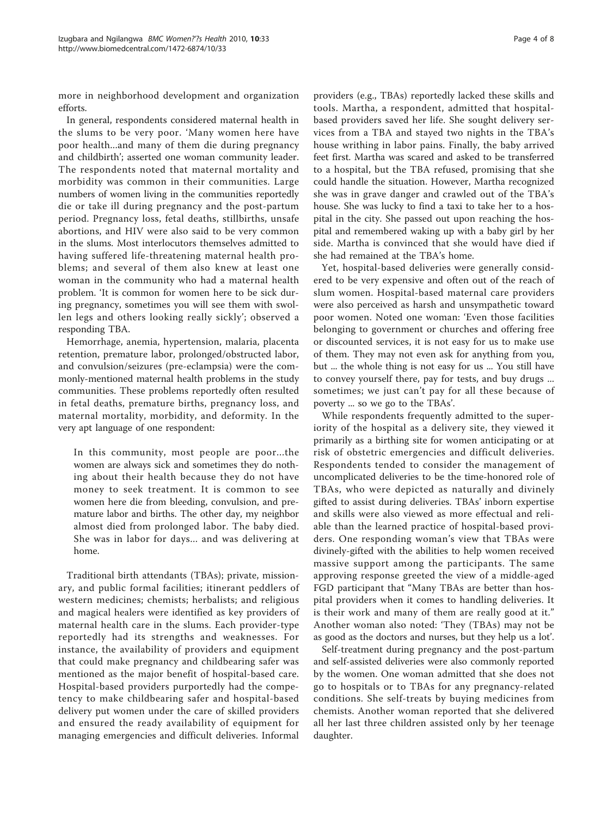more in neighborhood development and organization efforts.

In general, respondents considered maternal health in the slums to be very poor. 'Many women here have poor health...and many of them die during pregnancy and childbirth'; asserted one woman community leader. The respondents noted that maternal mortality and morbidity was common in their communities. Large numbers of women living in the communities reportedly die or take ill during pregnancy and the post-partum period. Pregnancy loss, fetal deaths, stillbirths, unsafe abortions, and HIV were also said to be very common in the slums. Most interlocutors themselves admitted to having suffered life-threatening maternal health problems; and several of them also knew at least one woman in the community who had a maternal health problem. 'It is common for women here to be sick during pregnancy, sometimes you will see them with swollen legs and others looking really sickly'; observed a responding TBA.

Hemorrhage, anemia, hypertension, malaria, placenta retention, premature labor, prolonged/obstructed labor, and convulsion/seizures (pre-eclampsia) were the commonly-mentioned maternal health problems in the study communities. These problems reportedly often resulted in fetal deaths, premature births, pregnancy loss, and maternal mortality, morbidity, and deformity. In the very apt language of one respondent:

In this community, most people are poor...the women are always sick and sometimes they do nothing about their health because they do not have money to seek treatment. It is common to see women here die from bleeding, convulsion, and premature labor and births. The other day, my neighbor almost died from prolonged labor. The baby died. She was in labor for days... and was delivering at home.

Traditional birth attendants (TBAs); private, missionary, and public formal facilities; itinerant peddlers of western medicines; chemists; herbalists; and religious and magical healers were identified as key providers of maternal health care in the slums. Each provider-type reportedly had its strengths and weaknesses. For instance, the availability of providers and equipment that could make pregnancy and childbearing safer was mentioned as the major benefit of hospital-based care. Hospital-based providers purportedly had the competency to make childbearing safer and hospital-based delivery put women under the care of skilled providers and ensured the ready availability of equipment for managing emergencies and difficult deliveries. Informal

providers (e.g., TBAs) reportedly lacked these skills and tools. Martha, a respondent, admitted that hospitalbased providers saved her life. She sought delivery services from a TBA and stayed two nights in the TBA's house writhing in labor pains. Finally, the baby arrived feet first. Martha was scared and asked to be transferred to a hospital, but the TBA refused, promising that she could handle the situation. However, Martha recognized she was in grave danger and crawled out of the TBA's house. She was lucky to find a taxi to take her to a hospital in the city. She passed out upon reaching the hospital and remembered waking up with a baby girl by her side. Martha is convinced that she would have died if she had remained at the TBA's home.

Yet, hospital-based deliveries were generally considered to be very expensive and often out of the reach of slum women. Hospital-based maternal care providers were also perceived as harsh and unsympathetic toward poor women. Noted one woman: 'Even those facilities belonging to government or churches and offering free or discounted services, it is not easy for us to make use of them. They may not even ask for anything from you, but ... the whole thing is not easy for us ... You still have to convey yourself there, pay for tests, and buy drugs ... sometimes; we just can't pay for all these because of poverty ... so we go to the TBAs'.

While respondents frequently admitted to the superiority of the hospital as a delivery site, they viewed it primarily as a birthing site for women anticipating or at risk of obstetric emergencies and difficult deliveries. Respondents tended to consider the management of uncomplicated deliveries to be the time-honored role of TBAs, who were depicted as naturally and divinely gifted to assist during deliveries. TBAs' inborn expertise and skills were also viewed as more effectual and reliable than the learned practice of hospital-based providers. One responding woman's view that TBAs were divinely-gifted with the abilities to help women received massive support among the participants. The same approving response greeted the view of a middle-aged FGD participant that "Many TBAs are better than hospital providers when it comes to handling deliveries. It is their work and many of them are really good at it." Another woman also noted: 'They (TBAs) may not be as good as the doctors and nurses, but they help us a lot'.

Self-treatment during pregnancy and the post-partum and self-assisted deliveries were also commonly reported by the women. One woman admitted that she does not go to hospitals or to TBAs for any pregnancy-related conditions. She self-treats by buying medicines from chemists. Another woman reported that she delivered all her last three children assisted only by her teenage daughter.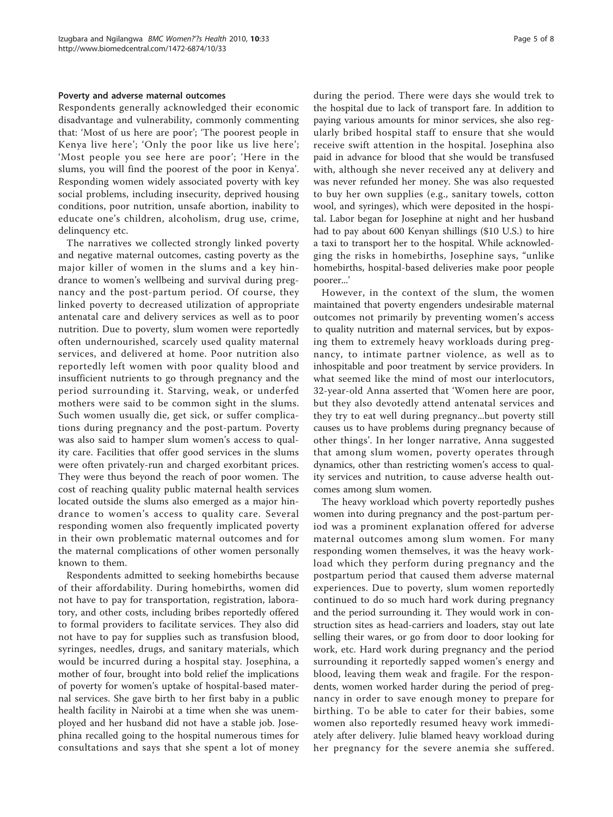### Poverty and adverse maternal outcomes

Respondents generally acknowledged their economic disadvantage and vulnerability, commonly commenting that: 'Most of us here are poor'; 'The poorest people in Kenya live here'; 'Only the poor like us live here'; 'Most people you see here are poor'; 'Here in the slums, you will find the poorest of the poor in Kenya'. Responding women widely associated poverty with key social problems, including insecurity, deprived housing conditions, poor nutrition, unsafe abortion, inability to educate one's children, alcoholism, drug use, crime, delinquency etc.

The narratives we collected strongly linked poverty and negative maternal outcomes, casting poverty as the major killer of women in the slums and a key hindrance to women's wellbeing and survival during pregnancy and the post-partum period. Of course, they linked poverty to decreased utilization of appropriate antenatal care and delivery services as well as to poor nutrition. Due to poverty, slum women were reportedly often undernourished, scarcely used quality maternal services, and delivered at home. Poor nutrition also reportedly left women with poor quality blood and insufficient nutrients to go through pregnancy and the period surrounding it. Starving, weak, or underfed mothers were said to be common sight in the slums. Such women usually die, get sick, or suffer complications during pregnancy and the post-partum. Poverty was also said to hamper slum women's access to quality care. Facilities that offer good services in the slums were often privately-run and charged exorbitant prices. They were thus beyond the reach of poor women. The cost of reaching quality public maternal health services located outside the slums also emerged as a major hindrance to women's access to quality care. Several responding women also frequently implicated poverty in their own problematic maternal outcomes and for the maternal complications of other women personally known to them.

Respondents admitted to seeking homebirths because of their affordability. During homebirths, women did not have to pay for transportation, registration, laboratory, and other costs, including bribes reportedly offered to formal providers to facilitate services. They also did not have to pay for supplies such as transfusion blood, syringes, needles, drugs, and sanitary materials, which would be incurred during a hospital stay. Josephina, a mother of four, brought into bold relief the implications of poverty for women's uptake of hospital-based maternal services. She gave birth to her first baby in a public health facility in Nairobi at a time when she was unemployed and her husband did not have a stable job. Josephina recalled going to the hospital numerous times for consultations and says that she spent a lot of money during the period. There were days she would trek to the hospital due to lack of transport fare. In addition to paying various amounts for minor services, she also regularly bribed hospital staff to ensure that she would receive swift attention in the hospital. Josephina also paid in advance for blood that she would be transfused with, although she never received any at delivery and was never refunded her money. She was also requested to buy her own supplies (e.g., sanitary towels, cotton wool, and syringes), which were deposited in the hospital. Labor began for Josephine at night and her husband had to pay about 600 Kenyan shillings (\$10 U.S.) to hire a taxi to transport her to the hospital. While acknowledging the risks in homebirths, Josephine says, "unlike homebirths, hospital-based deliveries make poor people poorer...'

However, in the context of the slum, the women maintained that poverty engenders undesirable maternal outcomes not primarily by preventing women's access to quality nutrition and maternal services, but by exposing them to extremely heavy workloads during pregnancy, to intimate partner violence, as well as to inhospitable and poor treatment by service providers. In what seemed like the mind of most our interlocutors, 32-year-old Anna asserted that 'Women here are poor, but they also devotedly attend antenatal services and they try to eat well during pregnancy...but poverty still causes us to have problems during pregnancy because of other things'. In her longer narrative, Anna suggested that among slum women, poverty operates through dynamics, other than restricting women's access to quality services and nutrition, to cause adverse health outcomes among slum women.

The heavy workload which poverty reportedly pushes women into during pregnancy and the post-partum period was a prominent explanation offered for adverse maternal outcomes among slum women. For many responding women themselves, it was the heavy workload which they perform during pregnancy and the postpartum period that caused them adverse maternal experiences. Due to poverty, slum women reportedly continued to do so much hard work during pregnancy and the period surrounding it. They would work in construction sites as head-carriers and loaders, stay out late selling their wares, or go from door to door looking for work, etc. Hard work during pregnancy and the period surrounding it reportedly sapped women's energy and blood, leaving them weak and fragile. For the respondents, women worked harder during the period of pregnancy in order to save enough money to prepare for birthing. To be able to cater for their babies, some women also reportedly resumed heavy work immediately after delivery. Julie blamed heavy workload during her pregnancy for the severe anemia she suffered.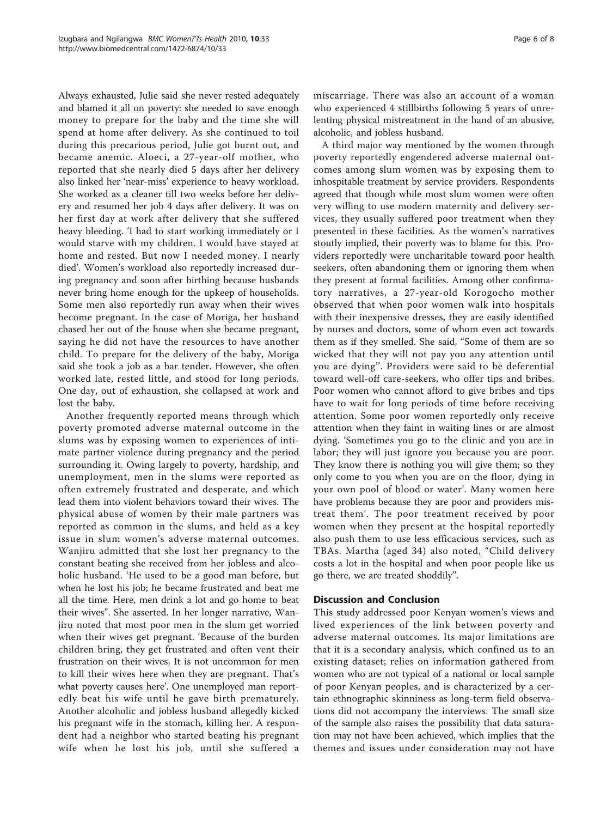Always exhausted, Julie said she never rested adequately and blamed it all on poverty: she needed to save enough money to prepare for the baby and the time she will spend at home after delivery. As she continued to toil during this precarious period, Julie got burnt out, and became anemic. Aloeci, a 27-year-olf mother, who reported that she nearly died 5 days after her delivery also linked her 'near-miss' experience to heavy workload. She worked as a cleaner till two weeks before her delivery and resumed her job 4 days after delivery. It was on her first day at work after delivery that she suffered heavy bleeding. 'I had to start working immediately or I would starve with my children. I would have stayed at home and rested. But now I needed money. I nearly died'. Women's workload also reportedly increased during pregnancy and soon after birthing because husbands never bring home enough for the upkeep of households. Some men also reportedly run away when their wives become pregnant. In the case of Moriga, her husband chased her out of the house when she became pregnant, saying he did not have the resources to have another child. To prepare for the delivery of the baby, Moriga said she took a job as a bar tender. However, she often worked late, rested little, and stood for long periods. One day, out of exhaustion, she collapsed at work and lost the baby.

Another frequently reported means through which poverty promoted adverse maternal outcome in the slums was by exposing women to experiences of intimate partner violence during pregnancy and the period surrounding it. Owing largely to poverty, hardship, and unemployment, men in the slums were reported as often extremely frustrated and desperate, and which lead them into violent behaviors toward their wives. The physical abuse of women by their male partners was reported as common in the slums, and held as a key issue in slum women's adverse maternal outcomes. Wanjiru admitted that she lost her pregnancy to the constant beating she received from her jobless and alcoholic husband. 'He used to be a good man before, but when he lost his job; he became frustrated and beat me all the time. Here, men drink a lot and go home to beat their wives". She asserted. In her longer narrative, Wanjiru noted that most poor men in the slum get worried when their wives get pregnant. 'Because of the burden children bring, they get frustrated and often vent their frustration on their wives. It is not uncommon for men to kill their wives here when they are pregnant. That's what poverty causes here'. One unemployed man reportedly beat his wife until he gave birth prematurely. Another alcoholic and jobless husband allegedly kicked his pregnant wife in the stomach, killing her. A respondent had a neighbor who started beating his pregnant wife when he lost his job, until she suffered a miscarriage. There was also an account of a woman who experienced 4 stillbirths following 5 years of unrelenting physical mistreatment in the hand of an abusive, alcoholic, and jobless husband.

A third major way mentioned by the women through poverty reportedly engendered adverse maternal outcomes among slum women was by exposing them to inhospitable treatment by service providers. Respondents agreed that though while most slum women were often very willing to use modern maternity and delivery services, they usually suffered poor treatment when they presented in these facilities. As the women's narratives stoutly implied, their poverty was to blame for this. Providers reportedly were uncharitable toward poor health seekers, often abandoning them or ignoring them when they present at formal facilities. Among other confirmatory narratives, a 27-year-old Korogocho mother observed that when poor women walk into hospitals with their inexpensive dresses, they are easily identified by nurses and doctors, some of whom even act towards them as if they smelled. She said, "Some of them are so wicked that they will not pay you any attention until you are dying''. Providers were said to be deferential toward well-off care-seekers, who offer tips and bribes. Poor women who cannot afford to give bribes and tips have to wait for long periods of time before receiving attention. Some poor women reportedly only receive attention when they faint in waiting lines or are almost dying. 'Sometimes you go to the clinic and you are in labor; they will just ignore you because you are poor. They know there is nothing you will give them; so they only come to you when you are on the floor, dying in your own pool of blood or water'. Many women here have problems because they are poor and providers mistreat them'. The poor treatment received by poor women when they present at the hospital reportedly also push them to use less efficacious services, such as TBAs. Martha (aged 34) also noted, "Child delivery costs a lot in the hospital and when poor people like us go there, we are treated shoddily''.

## Discussion and Conclusion

This study addressed poor Kenyan women's views and lived experiences of the link between poverty and adverse maternal outcomes. Its major limitations are that it is a secondary analysis, which confined us to an existing dataset; relies on information gathered from women who are not typical of a national or local sample of poor Kenyan peoples, and is characterized by a certain ethnographic skinniness as long-term field observations did not accompany the interviews. The small size of the sample also raises the possibility that data saturation may not have been achieved, which implies that the themes and issues under consideration may not have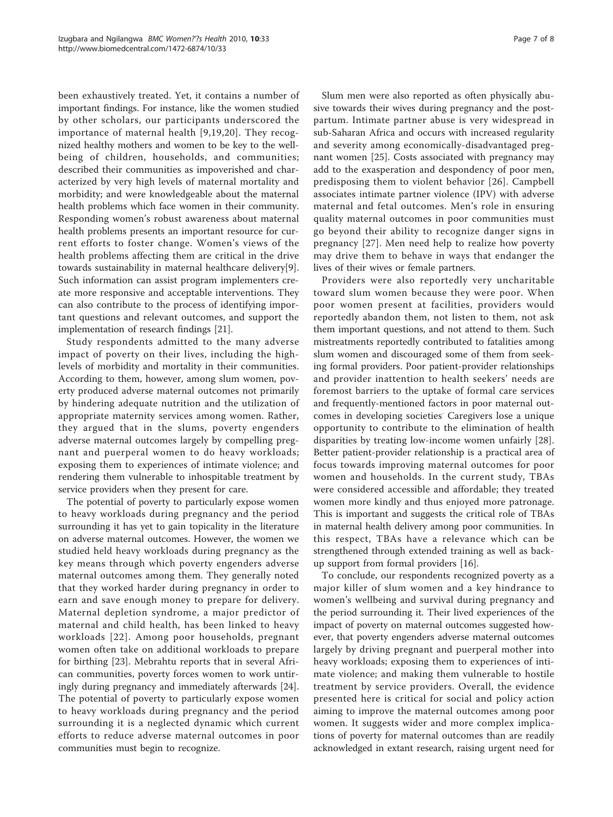been exhaustively treated. Yet, it contains a number of important findings. For instance, like the women studied by other scholars, our participants underscored the importance of maternal health [[9,19,20](#page-7-0)]. They recognized healthy mothers and women to be key to the wellbeing of children, households, and communities; described their communities as impoverished and characterized by very high levels of maternal mortality and morbidity; and were knowledgeable about the maternal health problems which face women in their community. Responding women's robust awareness about maternal health problems presents an important resource for current efforts to foster change. Women's views of the health problems affecting them are critical in the drive towards sustainability in maternal healthcare delivery[\[9](#page-7-0)]. Such information can assist program implementers create more responsive and acceptable interventions. They can also contribute to the process of identifying important questions and relevant outcomes, and support the implementation of research findings [\[21](#page-7-0)].

Study respondents admitted to the many adverse impact of poverty on their lives, including the highlevels of morbidity and mortality in their communities. According to them, however, among slum women, poverty produced adverse maternal outcomes not primarily by hindering adequate nutrition and the utilization of appropriate maternity services among women. Rather, they argued that in the slums, poverty engenders adverse maternal outcomes largely by compelling pregnant and puerperal women to do heavy workloads; exposing them to experiences of intimate violence; and rendering them vulnerable to inhospitable treatment by service providers when they present for care.

The potential of poverty to particularly expose women to heavy workloads during pregnancy and the period surrounding it has yet to gain topicality in the literature on adverse maternal outcomes. However, the women we studied held heavy workloads during pregnancy as the key means through which poverty engenders adverse maternal outcomes among them. They generally noted that they worked harder during pregnancy in order to earn and save enough money to prepare for delivery. Maternal depletion syndrome, a major predictor of maternal and child health, has been linked to heavy workloads [[22](#page-7-0)]. Among poor households, pregnant women often take on additional workloads to prepare for birthing [[23\]](#page-7-0). Mebrahtu reports that in several African communities, poverty forces women to work untiringly during pregnancy and immediately afterwards [\[24](#page-7-0)]. The potential of poverty to particularly expose women to heavy workloads during pregnancy and the period surrounding it is a neglected dynamic which current efforts to reduce adverse maternal outcomes in poor communities must begin to recognize.

Slum men were also reported as often physically abusive towards their wives during pregnancy and the postpartum. Intimate partner abuse is very widespread in sub-Saharan Africa and occurs with increased regularity and severity among economically-disadvantaged pregnant women [[25\]](#page-7-0). Costs associated with pregnancy may add to the exasperation and despondency of poor men, predisposing them to violent behavior [[26](#page-7-0)]. Campbell associates intimate partner violence (IPV) with adverse maternal and fetal outcomes. Men's role in ensuring quality maternal outcomes in poor communities must go beyond their ability to recognize danger signs in pregnancy [[27](#page-7-0)]. Men need help to realize how poverty may drive them to behave in ways that endanger the lives of their wives or female partners.

Providers were also reportedly very uncharitable toward slum women because they were poor. When poor women present at facilities, providers would reportedly abandon them, not listen to them, not ask them important questions, and not attend to them. Such mistreatments reportedly contributed to fatalities among slum women and discouraged some of them from seeking formal providers. Poor patient-provider relationships and provider inattention to health seekers' needs are foremost barriers to the uptake of formal care services and frequently-mentioned factors in poor maternal outcomes in developing societies. Caregivers lose a unique opportunity to contribute to the elimination of health disparities by treating low-income women unfairly [\[28](#page-7-0)]. Better patient-provider relationship is a practical area of focus towards improving maternal outcomes for poor women and households. In the current study, TBAs were considered accessible and affordable; they treated women more kindly and thus enjoyed more patronage. This is important and suggests the critical role of TBAs in maternal health delivery among poor communities. In this respect, TBAs have a relevance which can be strengthened through extended training as well as backup support from formal providers [\[16](#page-7-0)].

To conclude, our respondents recognized poverty as a major killer of slum women and a key hindrance to women's wellbeing and survival during pregnancy and the period surrounding it. Their lived experiences of the impact of poverty on maternal outcomes suggested however, that poverty engenders adverse maternal outcomes largely by driving pregnant and puerperal mother into heavy workloads; exposing them to experiences of intimate violence; and making them vulnerable to hostile treatment by service providers. Overall, the evidence presented here is critical for social and policy action aiming to improve the maternal outcomes among poor women. It suggests wider and more complex implications of poverty for maternal outcomes than are readily acknowledged in extant research, raising urgent need for